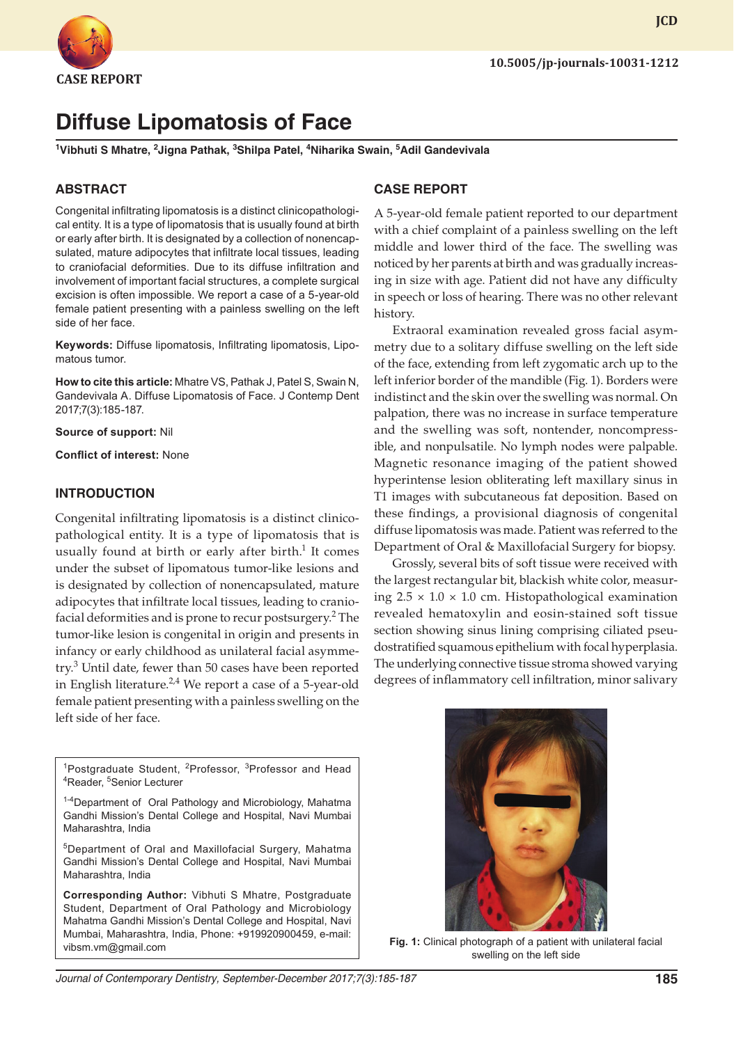

**JCD**

# **Diffuse Lipomatosis of Face**

<sup>1</sup>Vibhuti S Mhatre, <sup>2</sup>Jigna Pathak, <sup>3</sup>Shilpa Patel, <sup>4</sup>Niharika Swain, <sup>5</sup>Adil Gandevivala

## **ABSTRACT**

Congenital infiltrating lipomatosis is a distinct clinicopathological entity. It is a type of lipomatosis that is usually found at birth or early after birth. It is designated by a collection of nonencapsulated, mature adipocytes that infiltrate local tissues, leading to craniofacial deformities. Due to its diffuse infiltration and involvement of important facial structures, a complete surgical excision is often impossible. We report a case of a 5-year-old female patient presenting with a painless swelling on the left side of her face.

**Keywords:** Diffuse lipomatosis, Infiltrating lipomatosis, Lipomatous tumor.

**How to cite this article:** Mhatre VS, Pathak J, Patel S, Swain N, Gandevivala A. Diffuse Lipomatosis of Face. J Contemp Dent 2017;7(3):185-187.

**Source of support:** Nil

**Conflict of interest:** None

#### **INTRODUCTION**

Congenital infiltrating lipomatosis is a distinct clinicopathological entity. It is a type of lipomatosis that is usually found at birth or early after birth. $1$  It comes under the subset of lipomatous tumor-like lesions and is designated by collection of nonencapsulated, mature adipocytes that infiltrate local tissues, leading to craniofacial deformities and is prone to recur postsurgery.<sup>2</sup> The tumor-like lesion is congenital in origin and presents in infancy or early childhood as unilateral facial asymmetry.<sup>3</sup> Until date, fewer than 50 cases have been reported in English literature.<sup>2,4</sup> We report a case of a 5-year-old female patient presenting with a painless swelling on the left side of her face.

<sup>1</sup>Postgraduate Student, <sup>2</sup>Professor, <sup>3</sup>Professor and Head <sup>4</sup>Reader, <sup>5</sup>Senior Lecturer

<sup>1-4</sup>Department of Oral Pathology and Microbiology, Mahatma Gandhi Mission's Dental College and Hospital, Navi Mumbai Maharashtra, India

5Department of Oral and Maxillofacial Surgery, Mahatma Gandhi Mission's Dental College and Hospital, Navi Mumbai Maharashtra, India

**Corresponding Author:** Vibhuti S Mhatre, Postgraduate Student, Department of Oral Pathology and Microbiology Mahatma Gandhi Mission's Dental College and Hospital, Navi Mumbai, Maharashtra, India, Phone: +919920900459, e-mail: vibsm.vm@gmail.com

## **CASE REPORT**

A 5-year-old female patient reported to our department with a chief complaint of a painless swelling on the left middle and lower third of the face. The swelling was noticed by her parents at birth and was gradually increasing in size with age. Patient did not have any difficulty in speech or loss of hearing. There was no other relevant history.

Extraoral examination revealed gross facial asymmetry due to a solitary diffuse swelling on the left side of the face, extending from left zygomatic arch up to the left inferior border of the mandible (Fig. 1). Borders were indistinct and the skin over the swelling was normal. On palpation, there was no increase in surface temperature and the swelling was soft, nontender, noncompressible, and nonpulsatile. No lymph nodes were palpable. Magnetic resonance imaging of the patient showed hyperintense lesion obliterating left maxillary sinus in T1 images with subcutaneous fat deposition. Based on these findings, a provisional diagnosis of congenital diffuse lipomatosis was made. Patient was referred to the Department of Oral & Maxillofacial Surgery for biopsy.

Grossly, several bits of soft tissue were received with the largest rectangular bit, blackish white color, measuring  $2.5 \times 1.0 \times 1.0$  cm. Histopathological examination revealed hematoxylin and eosin-stained soft tissue section showing sinus lining comprising ciliated pseudostratified squamous epithelium with focal hyperplasia. The underlying connective tissue stroma showed varying degrees of inflammatory cell infiltration, minor salivary



**Fig. 1:** Clinical photograph of a patient with unilateral facial swelling on the left side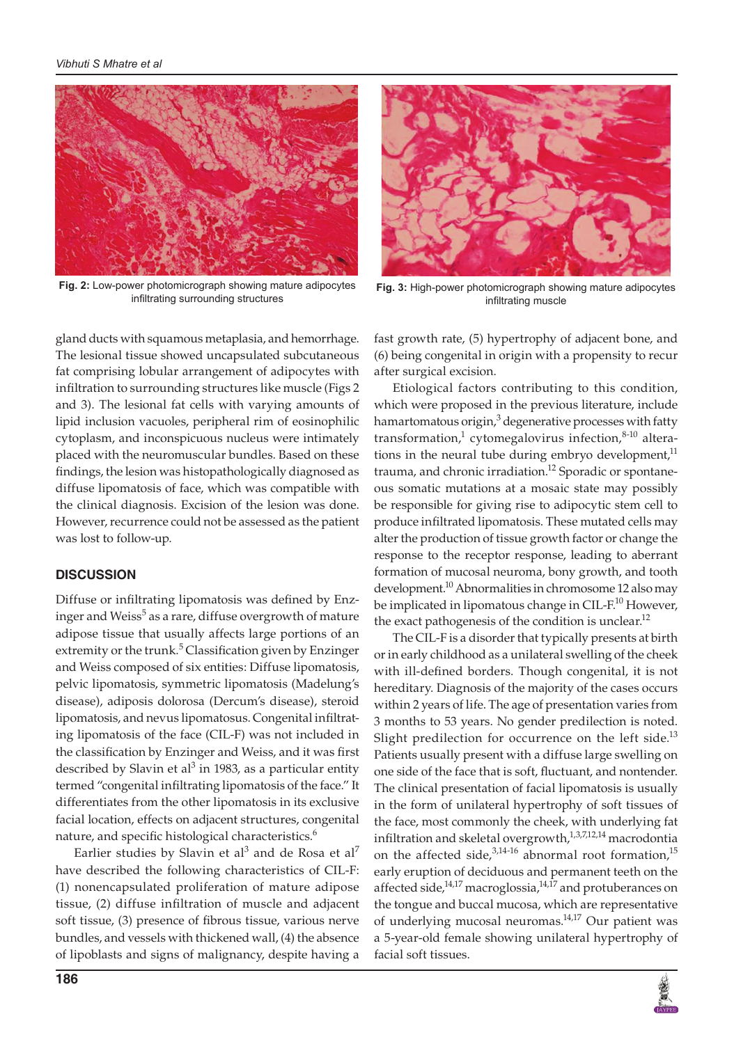

**Fig. 2:** Low-power photomicrograph showing mature adipocytes infiltrating surrounding structures



**Fig. 3:** High-power photomicrograph showing mature adipocytes infiltrating muscle

gland ducts with squamous metaplasia, and hemorrhage. The lesional tissue showed uncapsulated subcutaneous fat comprising lobular arrangement of adipocytes with infiltration to surrounding structures like muscle (Figs 2 and 3). The lesional fat cells with varying amounts of lipid inclusion vacuoles, peripheral rim of eosinophilic cytoplasm, and inconspicuous nucleus were intimately placed with the neuromuscular bundles. Based on these findings, the lesion was histopathologically diagnosed as diffuse lipomatosis of face, which was compatible with the clinical diagnosis. Excision of the lesion was done. However, recurrence could not be assessed as the patient was lost to follow-up.

# **DISCUSSION**

Diffuse or infiltrating lipomatosis was defined by Enzinger and Weiss $^5$  as a rare, diffuse overgrowth of mature adipose tissue that usually affects large portions of an extremity or the trunk.<sup>5</sup> Classification given by Enzinger and Weiss composed of six entities: Diffuse lipomatosis, pelvic lipomatosis, symmetric lipomatosis (Madelung's disease), adiposis dolorosa (Dercum's disease), steroid lipomatosis, and nevus lipomatosus. Congenital infiltrating lipomatosis of the face (CIL-F) was not included in the classification by Enzinger and Weiss, and it was first described by Slavin et al<sup>3</sup> in 1983, as a particular entity termed "congenital infiltrating lipomatosis of the face." It differentiates from the other lipomatosis in its exclusive facial location, effects on adjacent structures, congenital nature, and specific histological characteristics.<sup>6</sup>

Earlier studies by Slavin et al<sup>3</sup> and de Rosa et al<sup>7</sup> have described the following characteristics of CIL-F: (1) nonencapsulated proliferation of mature adipose tissue, (2) diffuse infiltration of muscle and adjacent soft tissue, (3) presence of fibrous tissue, various nerve bundles, and vessels with thickened wall, (4) the absence of lipoblasts and signs of malignancy, despite having a

fast growth rate, (5) hypertrophy of adjacent bone, and (6) being congenital in origin with a propensity to recur after surgical excision.

Etiological factors contributing to this condition, which were proposed in the previous literature, include hamartomatous origin, $^3$  degenerative processes with fatty transformation,<sup>1</sup> cytomegalovirus infection,<sup>8-10</sup> alterations in the neural tube during embryo development, $11$ trauma, and chronic irradiation.<sup>12</sup> Sporadic or spontaneous somatic mutations at a mosaic state may possibly be responsible for giving rise to adipocytic stem cell to produce infiltrated lipomatosis. These mutated cells may alter the production of tissue growth factor or change the response to the receptor response, leading to aberrant formation of mucosal neuroma, bony growth, and tooth development.<sup>10</sup> Abnormalities in chromosome 12 also may be implicated in lipomatous change in CIL-F.<sup>10</sup> However, the exact pathogenesis of the condition is unclear.<sup>12</sup>

The CIL-F is a disorder that typically presents at birth or in early childhood as a unilateral swelling of the cheek with ill-defined borders. Though congenital, it is not hereditary. Diagnosis of the majority of the cases occurs within 2 years of life. The age of presentation varies from 3 months to 53 years. No gender predilection is noted. Slight predilection for occurrence on the left side. $^{13}$ Patients usually present with a diffuse large swelling on one side of the face that is soft, fluctuant, and nontender. The clinical presentation of facial lipomatosis is usually in the form of unilateral hypertrophy of soft tissues of the face, most commonly the cheek, with underlying fat infiltration and skeletal overgrowth, $1,3,7,12,14$  macrodontia on the affected side,  $3,14-16$  abnormal root formation,  $15$ early eruption of deciduous and permanent teeth on the affected side, $14,17$  macroglossia, $14,17$  and protuberances on the tongue and buccal mucosa, which are representative of underlying mucosal neuromas.<sup>14,17</sup> Our patient was a 5-year-old female showing unilateral hypertrophy of facial soft tissues.